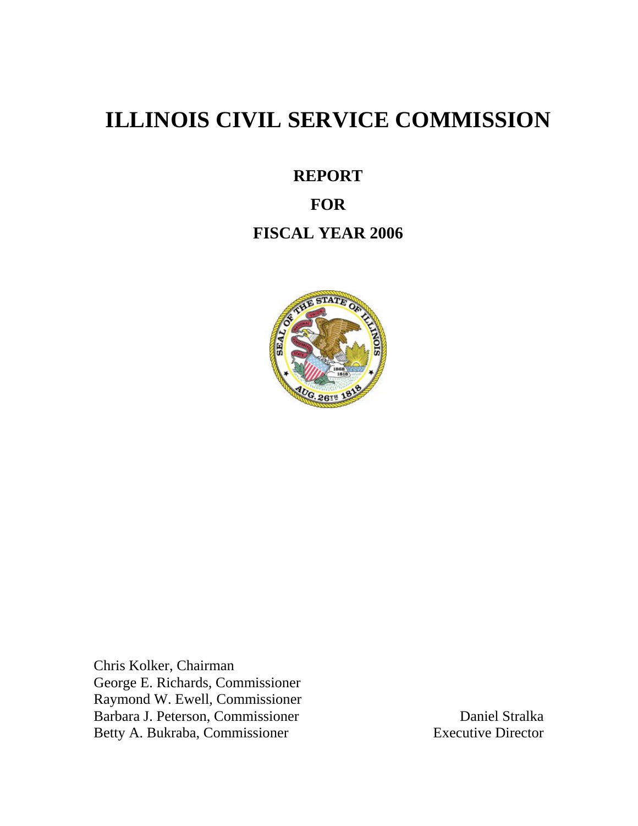# **ILLINOIS CIVIL SERVICE COMMISSION**

**REPORT** 

# **FOR**

# **FISCAL YEAR 2006**



Chris Kolker, Chairman George E. Richards, Commissioner Raymond W. Ewell, Commissioner Barbara J. Peterson, Commissioner Daniel Stralka<br>Betty A. Bukraba. Commissioner Betty A. Bukraba. Commissioner Betty A. Bukraba, Commissioner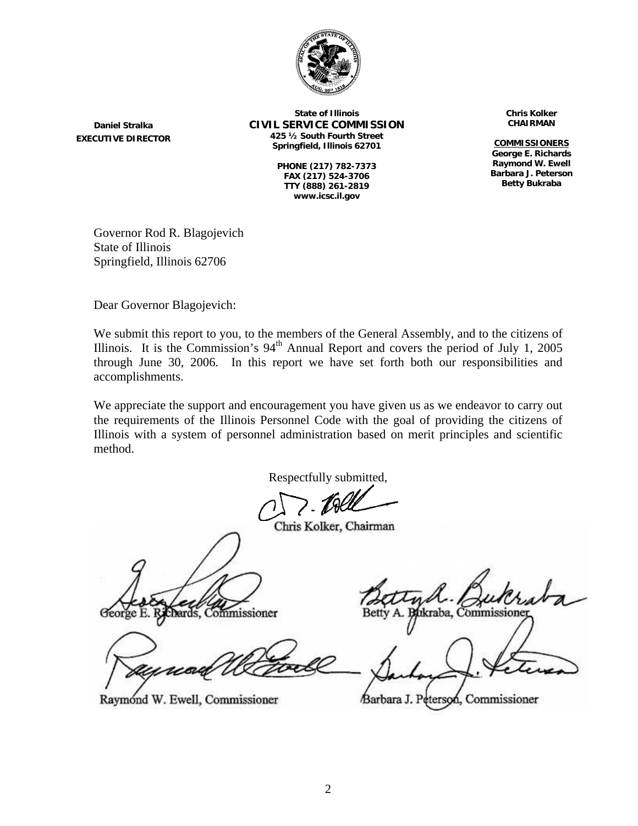

**Daniel Stralka EXECUTIVE DIRECTOR**

**State of Illinois CIVIL SERVICE COMMISSION 425 ½ South Fourth Street Springfield, Illinois 62701** 

> **PHONE (217) 782-7373 FAX (217) 524-3706 TTY (888) 261-2819 www.icsc.il.gov**

**Chris Kolker CHAIRMAN**

**COMMISSIONERS George E. Richards Raymond W. Ewell Barbara J. Peterson Betty Bukraba**

Governor Rod R. Blagojevich State of Illinois Springfield, Illinois 62706

Dear Governor Blagojevich:

We submit this report to you, to the members of the General Assembly, and to the citizens of Illinois. It is the Commission's  $94<sup>th</sup>$  Annual Report and covers the period of July 1, 2005 through June 30, 2006. In this report we have set forth both our responsibilities and accomplishments.

We appreciate the support and encouragement you have given us as we endeavor to carry out the requirements of the Illinois Personnel Code with the goal of providing the citizens of Illinois with a system of personnel administration based on merit principles and scientific method.

Respectfully submitted,

Chris Kolker, Chairman

chards, Commissioner

Raymond W. Ewell, Commissioner

ıkraba, Commissi

eterson, Commissioner /Barbara J. P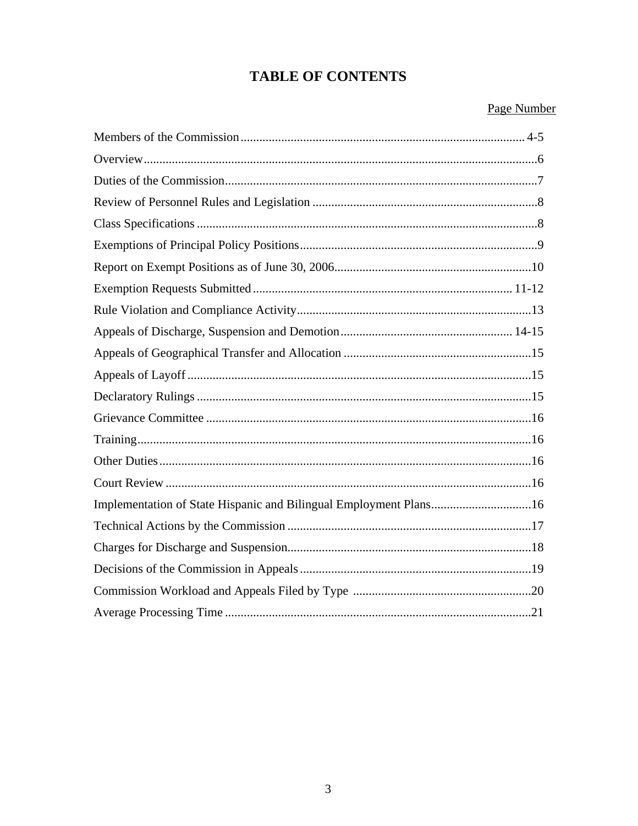# **TABLE OF CONTENTS**

#### Page Number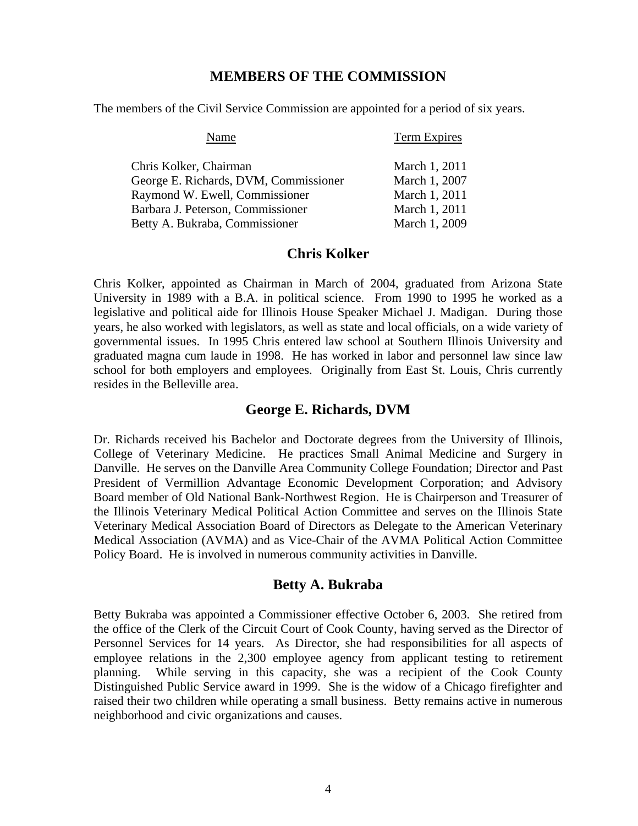#### **MEMBERS OF THE COMMISSION**

The members of the Civil Service Commission are appointed for a period of six years.

| Name                                  | <b>Term Expires</b> |
|---------------------------------------|---------------------|
| Chris Kolker, Chairman                | March 1, 2011       |
| George E. Richards, DVM, Commissioner | March 1, 2007       |
| Raymond W. Ewell, Commissioner        | March 1, 2011       |
| Barbara J. Peterson, Commissioner     | March 1, 2011       |
| Betty A. Bukraba, Commissioner        | March 1, 2009       |

#### **Chris Kolker**

Chris Kolker, appointed as Chairman in March of 2004, graduated from Arizona State University in 1989 with a B.A. in political science. From 1990 to 1995 he worked as a legislative and political aide for Illinois House Speaker Michael J. Madigan. During those years, he also worked with legislators, as well as state and local officials, on a wide variety of governmental issues. In 1995 Chris entered law school at Southern Illinois University and graduated magna cum laude in 1998. He has worked in labor and personnel law since law school for both employers and employees. Originally from East St. Louis, Chris currently resides in the Belleville area.

#### **George E. Richards, DVM**

Dr. Richards received his Bachelor and Doctorate degrees from the University of Illinois, College of Veterinary Medicine. He practices Small Animal Medicine and Surgery in Danville. He serves on the Danville Area Community College Foundation; Director and Past President of Vermillion Advantage Economic Development Corporation; and Advisory Board member of Old National Bank-Northwest Region. He is Chairperson and Treasurer of the Illinois Veterinary Medical Political Action Committee and serves on the Illinois State Veterinary Medical Association Board of Directors as Delegate to the American Veterinary Medical Association (AVMA) and as Vice-Chair of the AVMA Political Action Committee Policy Board. He is involved in numerous community activities in Danville.

#### **Betty A. Bukraba**

Betty Bukraba was appointed a Commissioner effective October 6, 2003. She retired from the office of the Clerk of the Circuit Court of Cook County, having served as the Director of Personnel Services for 14 years. As Director, she had responsibilities for all aspects of employee relations in the 2,300 employee agency from applicant testing to retirement planning. While serving in this capacity, she was a recipient of the Cook County Distinguished Public Service award in 1999. She is the widow of a Chicago firefighter and raised their two children while operating a small business. Betty remains active in numerous neighborhood and civic organizations and causes.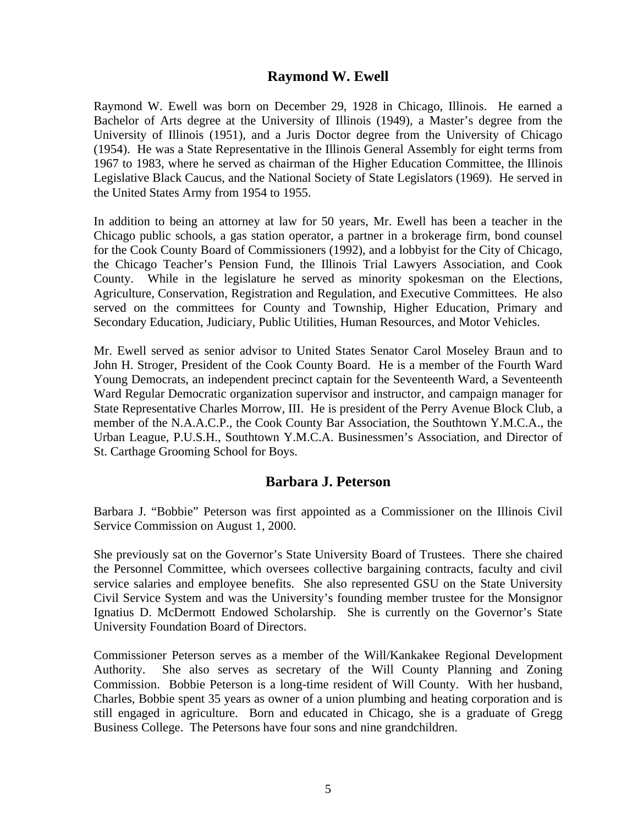#### **Raymond W. Ewell**

Raymond W. Ewell was born on December 29, 1928 in Chicago, Illinois. He earned a Bachelor of Arts degree at the University of Illinois (1949), a Master's degree from the University of Illinois (1951), and a Juris Doctor degree from the University of Chicago (1954). He was a State Representative in the Illinois General Assembly for eight terms from 1967 to 1983, where he served as chairman of the Higher Education Committee, the Illinois Legislative Black Caucus, and the National Society of State Legislators (1969). He served in the United States Army from 1954 to 1955.

In addition to being an attorney at law for 50 years, Mr. Ewell has been a teacher in the Chicago public schools, a gas station operator, a partner in a brokerage firm, bond counsel for the Cook County Board of Commissioners (1992), and a lobbyist for the City of Chicago, the Chicago Teacher's Pension Fund, the Illinois Trial Lawyers Association, and Cook County. While in the legislature he served as minority spokesman on the Elections, Agriculture, Conservation, Registration and Regulation, and Executive Committees. He also served on the committees for County and Township, Higher Education, Primary and Secondary Education, Judiciary, Public Utilities, Human Resources, and Motor Vehicles.

Mr. Ewell served as senior advisor to United States Senator Carol Moseley Braun and to John H. Stroger, President of the Cook County Board. He is a member of the Fourth Ward Young Democrats, an independent precinct captain for the Seventeenth Ward, a Seventeenth Ward Regular Democratic organization supervisor and instructor, and campaign manager for State Representative Charles Morrow, III. He is president of the Perry Avenue Block Club, a member of the N.A.A.C.P., the Cook County Bar Association, the Southtown Y.M.C.A., the Urban League, P.U.S.H., Southtown Y.M.C.A. Businessmen's Association, and Director of St. Carthage Grooming School for Boys.

#### **Barbara J. Peterson**

Barbara J. "Bobbie" Peterson was first appointed as a Commissioner on the Illinois Civil Service Commission on August 1, 2000.

She previously sat on the Governor's State University Board of Trustees. There she chaired the Personnel Committee, which oversees collective bargaining contracts, faculty and civil service salaries and employee benefits. She also represented GSU on the State University Civil Service System and was the University's founding member trustee for the Monsignor Ignatius D. McDermott Endowed Scholarship. She is currently on the Governor's State University Foundation Board of Directors.

Commissioner Peterson serves as a member of the Will/Kankakee Regional Development Authority. She also serves as secretary of the Will County Planning and Zoning Commission. Bobbie Peterson is a long-time resident of Will County. With her husband, Charles, Bobbie spent 35 years as owner of a union plumbing and heating corporation and is still engaged in agriculture. Born and educated in Chicago, she is a graduate of Gregg Business College. The Petersons have four sons and nine grandchildren.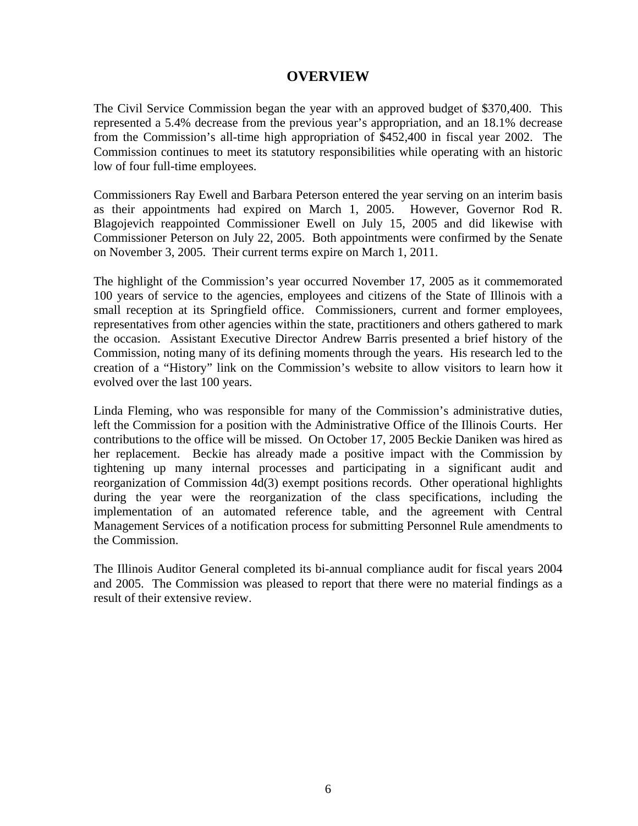## **OVERVIEW**

The Civil Service Commission began the year with an approved budget of \$370,400. This represented a 5.4% decrease from the previous year's appropriation, and an 18.1% decrease from the Commission's all-time high appropriation of \$452,400 in fiscal year 2002. The Commission continues to meet its statutory responsibilities while operating with an historic low of four full-time employees.

Commissioners Ray Ewell and Barbara Peterson entered the year serving on an interim basis as their appointments had expired on March 1, 2005. However, Governor Rod R. Blagojevich reappointed Commissioner Ewell on July 15, 2005 and did likewise with Commissioner Peterson on July 22, 2005. Both appointments were confirmed by the Senate on November 3, 2005. Their current terms expire on March 1, 2011.

The highlight of the Commission's year occurred November 17, 2005 as it commemorated 100 years of service to the agencies, employees and citizens of the State of Illinois with a small reception at its Springfield office. Commissioners, current and former employees, representatives from other agencies within the state, practitioners and others gathered to mark the occasion. Assistant Executive Director Andrew Barris presented a brief history of the Commission, noting many of its defining moments through the years. His research led to the creation of a "History" link on the Commission's website to allow visitors to learn how it evolved over the last 100 years.

Linda Fleming, who was responsible for many of the Commission's administrative duties, left the Commission for a position with the Administrative Office of the Illinois Courts. Her contributions to the office will be missed. On October 17, 2005 Beckie Daniken was hired as her replacement. Beckie has already made a positive impact with the Commission by tightening up many internal processes and participating in a significant audit and reorganization of Commission 4d(3) exempt positions records. Other operational highlights during the year were the reorganization of the class specifications, including the implementation of an automated reference table, and the agreement with Central Management Services of a notification process for submitting Personnel Rule amendments to the Commission.

The Illinois Auditor General completed its bi-annual compliance audit for fiscal years 2004 and 2005. The Commission was pleased to report that there were no material findings as a result of their extensive review.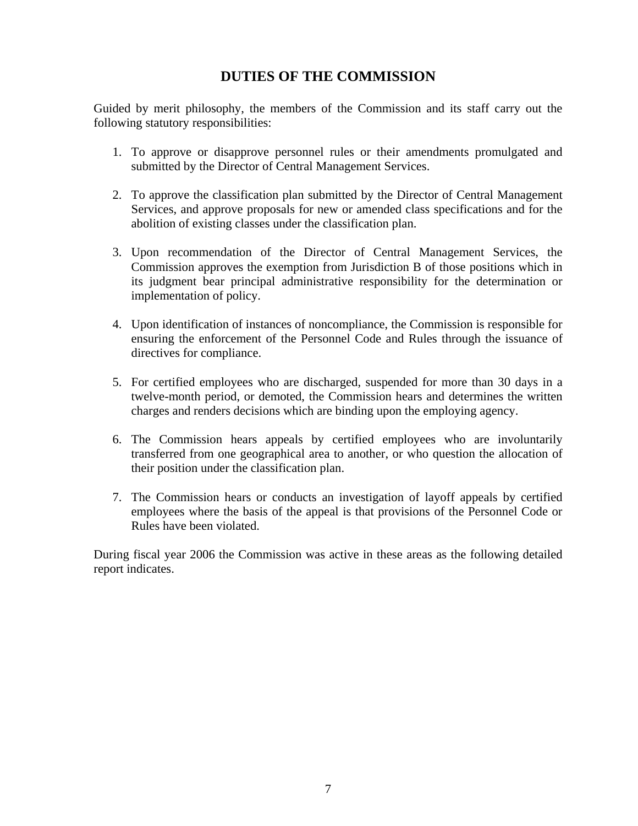## **DUTIES OF THE COMMISSION**

Guided by merit philosophy, the members of the Commission and its staff carry out the following statutory responsibilities:

- 1. To approve or disapprove personnel rules or their amendments promulgated and submitted by the Director of Central Management Services.
- 2. To approve the classification plan submitted by the Director of Central Management Services, and approve proposals for new or amended class specifications and for the abolition of existing classes under the classification plan.
- 3. Upon recommendation of the Director of Central Management Services, the Commission approves the exemption from Jurisdiction B of those positions which in its judgment bear principal administrative responsibility for the determination or implementation of policy.
- 4. Upon identification of instances of noncompliance, the Commission is responsible for ensuring the enforcement of the Personnel Code and Rules through the issuance of directives for compliance.
- 5. For certified employees who are discharged, suspended for more than 30 days in a twelve-month period, or demoted, the Commission hears and determines the written charges and renders decisions which are binding upon the employing agency.
- 6. The Commission hears appeals by certified employees who are involuntarily transferred from one geographical area to another, or who question the allocation of their position under the classification plan.
- 7. The Commission hears or conducts an investigation of layoff appeals by certified employees where the basis of the appeal is that provisions of the Personnel Code or Rules have been violated.

During fiscal year 2006 the Commission was active in these areas as the following detailed report indicates.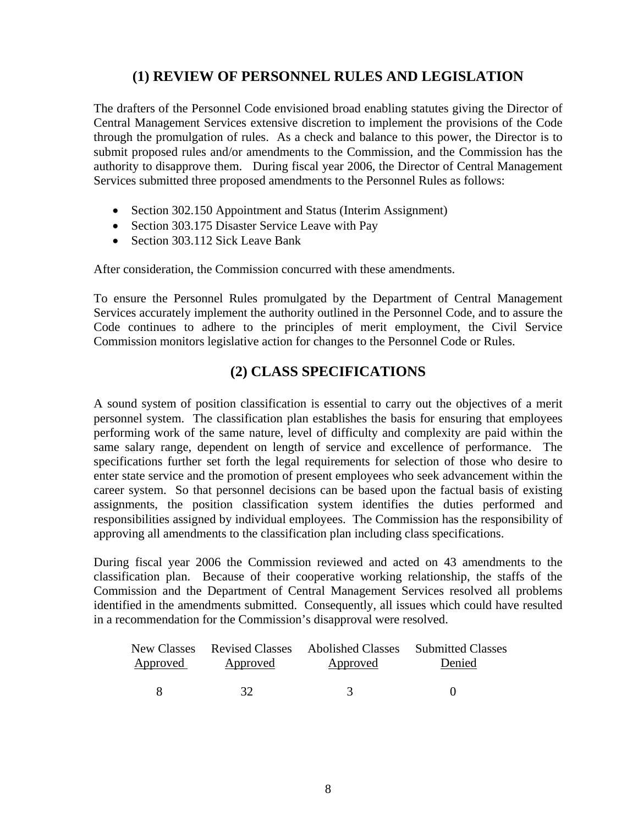## **(1) REVIEW OF PERSONNEL RULES AND LEGISLATION**

The drafters of the Personnel Code envisioned broad enabling statutes giving the Director of Central Management Services extensive discretion to implement the provisions of the Code through the promulgation of rules. As a check and balance to this power, the Director is to submit proposed rules and/or amendments to the Commission, and the Commission has the authority to disapprove them. During fiscal year 2006, the Director of Central Management Services submitted three proposed amendments to the Personnel Rules as follows:

- Section 302.150 Appointment and Status (Interim Assignment)
- Section 303.175 Disaster Service Leave with Pay
- Section 303.112 Sick Leave Bank

After consideration, the Commission concurred with these amendments.

To ensure the Personnel Rules promulgated by the Department of Central Management Services accurately implement the authority outlined in the Personnel Code, and to assure the Code continues to adhere to the principles of merit employment, the Civil Service Commission monitors legislative action for changes to the Personnel Code or Rules.

## **(2) CLASS SPECIFICATIONS**

A sound system of position classification is essential to carry out the objectives of a merit personnel system. The classification plan establishes the basis for ensuring that employees performing work of the same nature, level of difficulty and complexity are paid within the same salary range, dependent on length of service and excellence of performance. The specifications further set forth the legal requirements for selection of those who desire to enter state service and the promotion of present employees who seek advancement within the career system. So that personnel decisions can be based upon the factual basis of existing assignments, the position classification system identifies the duties performed and responsibilities assigned by individual employees. The Commission has the responsibility of approving all amendments to the classification plan including class specifications.

During fiscal year 2006 the Commission reviewed and acted on 43 amendments to the classification plan. Because of their cooperative working relationship, the staffs of the Commission and the Department of Central Management Services resolved all problems identified in the amendments submitted. Consequently, all issues which could have resulted in a recommendation for the Commission's disapproval were resolved.

|          |          |          | New Classes Revised Classes Abolished Classes Submitted Classes |
|----------|----------|----------|-----------------------------------------------------------------|
| Approved | Approved | Approved | Denied                                                          |
|          |          |          |                                                                 |
|          | 32       |          |                                                                 |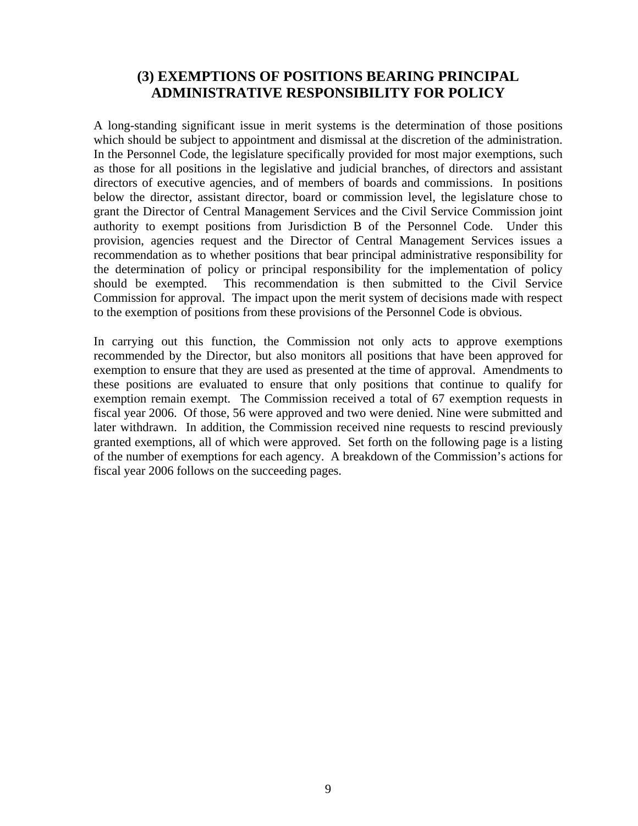## **(3) EXEMPTIONS OF POSITIONS BEARING PRINCIPAL ADMINISTRATIVE RESPONSIBILITY FOR POLICY**

A long-standing significant issue in merit systems is the determination of those positions which should be subject to appointment and dismissal at the discretion of the administration. In the Personnel Code, the legislature specifically provided for most major exemptions, such as those for all positions in the legislative and judicial branches, of directors and assistant directors of executive agencies, and of members of boards and commissions. In positions below the director, assistant director, board or commission level, the legislature chose to grant the Director of Central Management Services and the Civil Service Commission joint authority to exempt positions from Jurisdiction B of the Personnel Code. Under this provision, agencies request and the Director of Central Management Services issues a recommendation as to whether positions that bear principal administrative responsibility for the determination of policy or principal responsibility for the implementation of policy should be exempted. This recommendation is then submitted to the Civil Service Commission for approval. The impact upon the merit system of decisions made with respect to the exemption of positions from these provisions of the Personnel Code is obvious.

In carrying out this function, the Commission not only acts to approve exemptions recommended by the Director, but also monitors all positions that have been approved for exemption to ensure that they are used as presented at the time of approval. Amendments to these positions are evaluated to ensure that only positions that continue to qualify for exemption remain exempt. The Commission received a total of 67 exemption requests in fiscal year 2006. Of those, 56 were approved and two were denied. Nine were submitted and later withdrawn. In addition, the Commission received nine requests to rescind previously granted exemptions, all of which were approved. Set forth on the following page is a listing of the number of exemptions for each agency. A breakdown of the Commission's actions for fiscal year 2006 follows on the succeeding pages.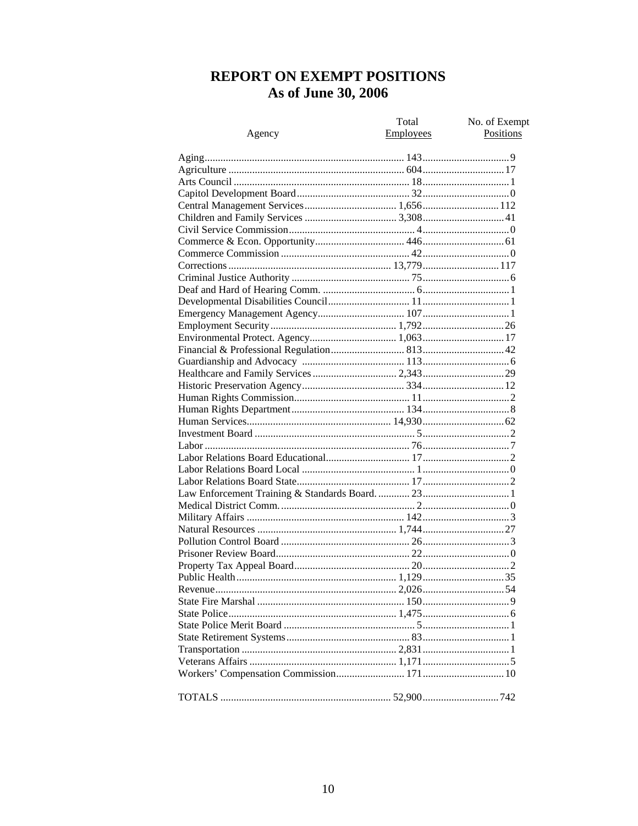# REPORT ON EXEMPT POSITIONS As of June 30, 2006

|        | Total     | No. of Exempt |
|--------|-----------|---------------|
| Agency | Employees | Positions     |
|        |           |               |
|        |           |               |
|        |           |               |
|        |           |               |
|        |           |               |
|        |           |               |
|        |           |               |
|        |           |               |
|        |           |               |
|        |           |               |
|        |           |               |
|        |           |               |
|        |           |               |
|        |           |               |
|        |           |               |
|        |           |               |
|        |           |               |
|        |           |               |
|        |           |               |
|        |           |               |
|        |           |               |
|        |           |               |
|        |           |               |
|        |           |               |
|        |           |               |
|        |           |               |
|        |           |               |
|        |           |               |
|        |           |               |
|        |           |               |
|        |           |               |
|        |           |               |
|        |           |               |
|        |           |               |
|        |           |               |
|        |           |               |
|        |           |               |
|        |           |               |
|        |           |               |
|        |           |               |
|        |           |               |
|        |           |               |
|        |           |               |
|        |           |               |
|        |           |               |
|        |           |               |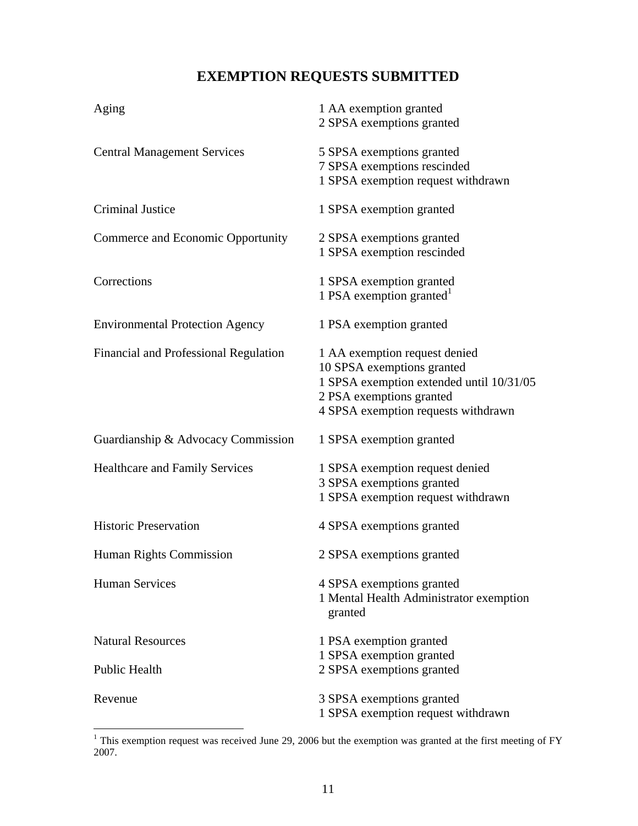# **EXEMPTION REQUESTS SUBMITTED**

| Aging                                  | 1 AA exemption granted<br>2 SPSA exemptions granted                                                                                                                        |
|----------------------------------------|----------------------------------------------------------------------------------------------------------------------------------------------------------------------------|
| <b>Central Management Services</b>     | 5 SPSA exemptions granted<br>7 SPSA exemptions rescinded<br>1 SPSA exemption request withdrawn                                                                             |
| <b>Criminal Justice</b>                | 1 SPSA exemption granted                                                                                                                                                   |
| Commerce and Economic Opportunity      | 2 SPSA exemptions granted<br>1 SPSA exemption rescinded                                                                                                                    |
| Corrections                            | 1 SPSA exemption granted<br>1 PSA exemption granted $^1$                                                                                                                   |
| <b>Environmental Protection Agency</b> | 1 PSA exemption granted                                                                                                                                                    |
| Financial and Professional Regulation  | 1 AA exemption request denied<br>10 SPSA exemptions granted<br>1 SPSA exemption extended until 10/31/05<br>2 PSA exemptions granted<br>4 SPSA exemption requests withdrawn |
| Guardianship & Advocacy Commission     | 1 SPSA exemption granted                                                                                                                                                   |
| <b>Healthcare and Family Services</b>  | 1 SPSA exemption request denied<br>3 SPSA exemptions granted<br>1 SPSA exemption request withdrawn                                                                         |
| <b>Historic Preservation</b>           | 4 SPSA exemptions granted                                                                                                                                                  |
| Human Rights Commission                | 2 SPSA exemptions granted                                                                                                                                                  |
| <b>Human Services</b>                  | 4 SPSA exemptions granted<br>1 Mental Health Administrator exemption<br>granted                                                                                            |
| <b>Natural Resources</b>               | 1 PSA exemption granted                                                                                                                                                    |
| <b>Public Health</b>                   | 1 SPSA exemption granted<br>2 SPSA exemptions granted                                                                                                                      |
| Revenue                                | 3 SPSA exemptions granted<br>1 SPSA exemption request withdrawn                                                                                                            |

<sup>&</sup>lt;sup>1</sup>This exemption request was received June 29, 2006 but the exemption was granted at the first meeting of FY 2007.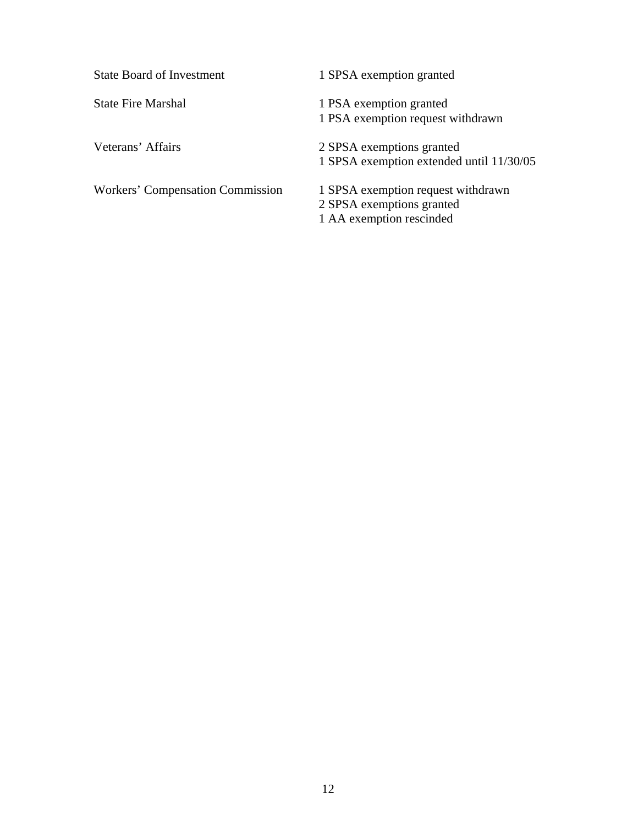State Board of Investment 1 SPSA exemption granted

Workers' Compensation Commission 1 SPSA exemption request withdrawn

State Fire Marshal 1 PSA exemption granted 1 PSA exemption request withdrawn

Veterans' Affairs 2 SPSA exemptions granted 1 SPSA exemption extended until 11/30/05

> 2 SPSA exemptions granted 1 AA exemption rescinded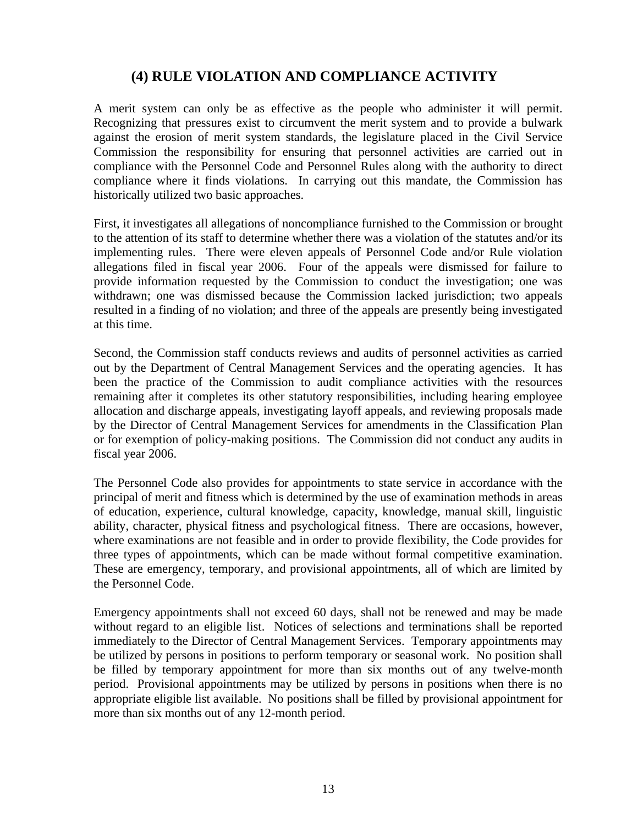## **(4) RULE VIOLATION AND COMPLIANCE ACTIVITY**

A merit system can only be as effective as the people who administer it will permit. Recognizing that pressures exist to circumvent the merit system and to provide a bulwark against the erosion of merit system standards, the legislature placed in the Civil Service Commission the responsibility for ensuring that personnel activities are carried out in compliance with the Personnel Code and Personnel Rules along with the authority to direct compliance where it finds violations. In carrying out this mandate, the Commission has historically utilized two basic approaches.

First, it investigates all allegations of noncompliance furnished to the Commission or brought to the attention of its staff to determine whether there was a violation of the statutes and/or its implementing rules. There were eleven appeals of Personnel Code and/or Rule violation allegations filed in fiscal year 2006. Four of the appeals were dismissed for failure to provide information requested by the Commission to conduct the investigation; one was withdrawn; one was dismissed because the Commission lacked jurisdiction; two appeals resulted in a finding of no violation; and three of the appeals are presently being investigated at this time.

Second, the Commission staff conducts reviews and audits of personnel activities as carried out by the Department of Central Management Services and the operating agencies. It has been the practice of the Commission to audit compliance activities with the resources remaining after it completes its other statutory responsibilities, including hearing employee allocation and discharge appeals, investigating layoff appeals, and reviewing proposals made by the Director of Central Management Services for amendments in the Classification Plan or for exemption of policy-making positions. The Commission did not conduct any audits in fiscal year 2006.

The Personnel Code also provides for appointments to state service in accordance with the principal of merit and fitness which is determined by the use of examination methods in areas of education, experience, cultural knowledge, capacity, knowledge, manual skill, linguistic ability, character, physical fitness and psychological fitness. There are occasions, however, where examinations are not feasible and in order to provide flexibility, the Code provides for three types of appointments, which can be made without formal competitive examination. These are emergency, temporary, and provisional appointments, all of which are limited by the Personnel Code.

Emergency appointments shall not exceed 60 days, shall not be renewed and may be made without regard to an eligible list. Notices of selections and terminations shall be reported immediately to the Director of Central Management Services. Temporary appointments may be utilized by persons in positions to perform temporary or seasonal work. No position shall be filled by temporary appointment for more than six months out of any twelve-month period. Provisional appointments may be utilized by persons in positions when there is no appropriate eligible list available. No positions shall be filled by provisional appointment for more than six months out of any 12-month period.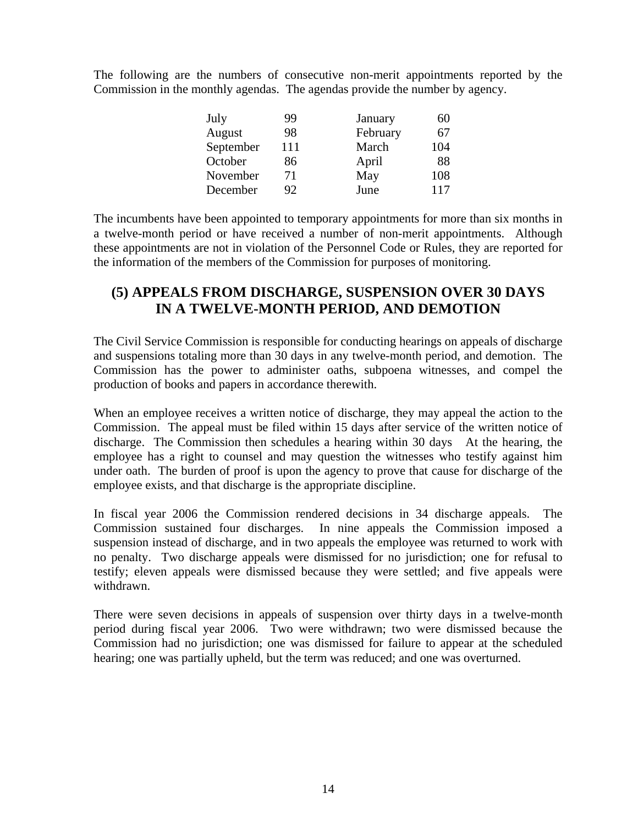The following are the numbers of consecutive non-merit appointments reported by the Commission in the monthly agendas. The agendas provide the number by agency.

| July      | 99  | January  | 60  |
|-----------|-----|----------|-----|
| August    | 98  | February | 67  |
| September | 111 | March    | 104 |
| October   | 86  | April    | 88  |
| November  | 71  | May      | 108 |
| December  | 92  | June     | 117 |

The incumbents have been appointed to temporary appointments for more than six months in a twelve-month period or have received a number of non-merit appointments. Although these appointments are not in violation of the Personnel Code or Rules, they are reported for the information of the members of the Commission for purposes of monitoring.

## **(5) APPEALS FROM DISCHARGE, SUSPENSION OVER 30 DAYS IN A TWELVE-MONTH PERIOD, AND DEMOTION**

The Civil Service Commission is responsible for conducting hearings on appeals of discharge and suspensions totaling more than 30 days in any twelve-month period, and demotion. The Commission has the power to administer oaths, subpoena witnesses, and compel the production of books and papers in accordance therewith.

When an employee receives a written notice of discharge, they may appeal the action to the Commission. The appeal must be filed within 15 days after service of the written notice of discharge. The Commission then schedules a hearing within 30 days At the hearing, the employee has a right to counsel and may question the witnesses who testify against him under oath. The burden of proof is upon the agency to prove that cause for discharge of the employee exists, and that discharge is the appropriate discipline.

In fiscal year 2006 the Commission rendered decisions in 34 discharge appeals. The Commission sustained four discharges. In nine appeals the Commission imposed a suspension instead of discharge, and in two appeals the employee was returned to work with no penalty. Two discharge appeals were dismissed for no jurisdiction; one for refusal to testify; eleven appeals were dismissed because they were settled; and five appeals were withdrawn.

There were seven decisions in appeals of suspension over thirty days in a twelve-month period during fiscal year 2006. Two were withdrawn; two were dismissed because the Commission had no jurisdiction; one was dismissed for failure to appear at the scheduled hearing; one was partially upheld, but the term was reduced; and one was overturned.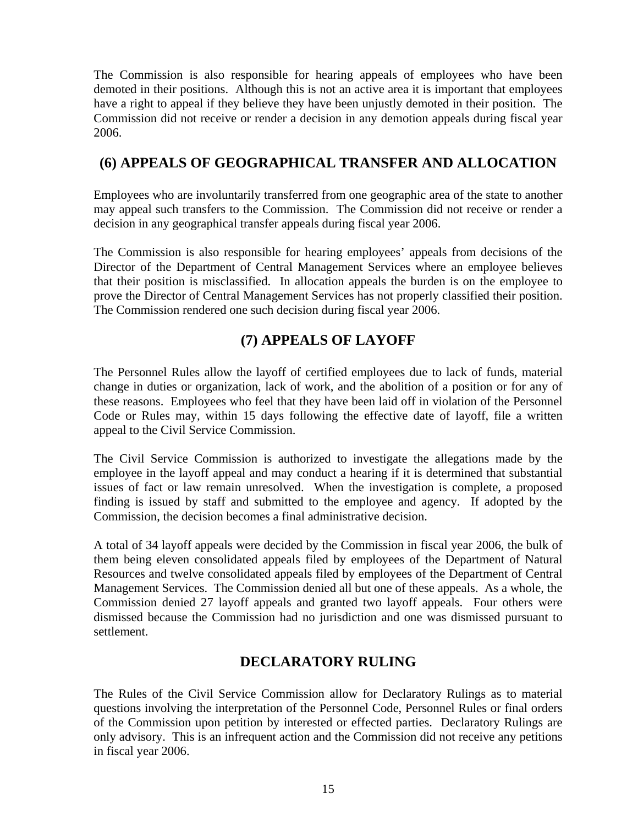The Commission is also responsible for hearing appeals of employees who have been demoted in their positions. Although this is not an active area it is important that employees have a right to appeal if they believe they have been unjustly demoted in their position. The Commission did not receive or render a decision in any demotion appeals during fiscal year 2006.

## **(6) APPEALS OF GEOGRAPHICAL TRANSFER AND ALLOCATION**

Employees who are involuntarily transferred from one geographic area of the state to another may appeal such transfers to the Commission. The Commission did not receive or render a decision in any geographical transfer appeals during fiscal year 2006.

The Commission is also responsible for hearing employees' appeals from decisions of the Director of the Department of Central Management Services where an employee believes that their position is misclassified. In allocation appeals the burden is on the employee to prove the Director of Central Management Services has not properly classified their position. The Commission rendered one such decision during fiscal year 2006.

# **(7) APPEALS OF LAYOFF**

The Personnel Rules allow the layoff of certified employees due to lack of funds, material change in duties or organization, lack of work, and the abolition of a position or for any of these reasons. Employees who feel that they have been laid off in violation of the Personnel Code or Rules may, within 15 days following the effective date of layoff, file a written appeal to the Civil Service Commission.

The Civil Service Commission is authorized to investigate the allegations made by the employee in the layoff appeal and may conduct a hearing if it is determined that substantial issues of fact or law remain unresolved. When the investigation is complete, a proposed finding is issued by staff and submitted to the employee and agency. If adopted by the Commission, the decision becomes a final administrative decision.

A total of 34 layoff appeals were decided by the Commission in fiscal year 2006, the bulk of them being eleven consolidated appeals filed by employees of the Department of Natural Resources and twelve consolidated appeals filed by employees of the Department of Central Management Services. The Commission denied all but one of these appeals. As a whole, the Commission denied 27 layoff appeals and granted two layoff appeals. Four others were dismissed because the Commission had no jurisdiction and one was dismissed pursuant to settlement.

# **DECLARATORY RULING**

The Rules of the Civil Service Commission allow for Declaratory Rulings as to material questions involving the interpretation of the Personnel Code, Personnel Rules or final orders of the Commission upon petition by interested or effected parties. Declaratory Rulings are only advisory. This is an infrequent action and the Commission did not receive any petitions in fiscal year 2006.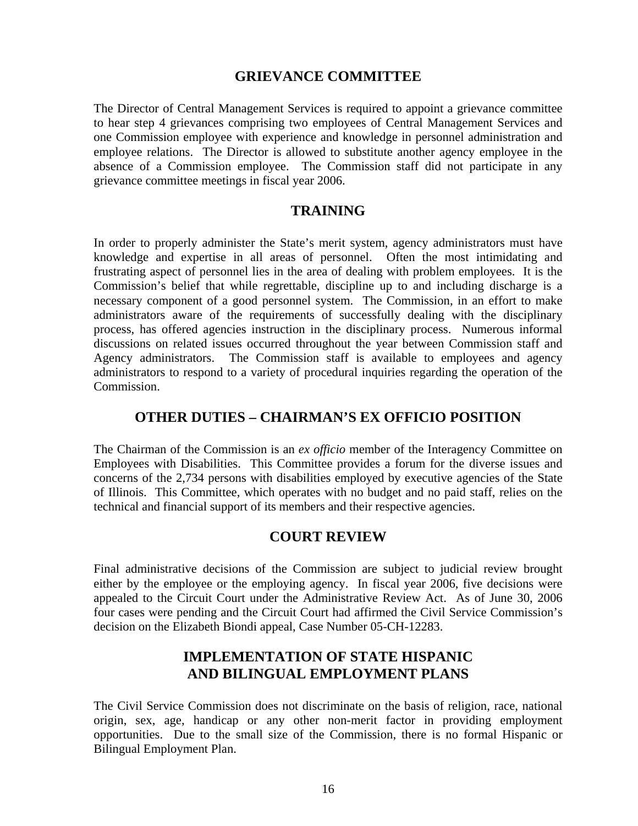#### **GRIEVANCE COMMITTEE**

The Director of Central Management Services is required to appoint a grievance committee to hear step 4 grievances comprising two employees of Central Management Services and one Commission employee with experience and knowledge in personnel administration and employee relations. The Director is allowed to substitute another agency employee in the absence of a Commission employee. The Commission staff did not participate in any grievance committee meetings in fiscal year 2006.

#### **TRAINING**

In order to properly administer the State's merit system, agency administrators must have knowledge and expertise in all areas of personnel. Often the most intimidating and frustrating aspect of personnel lies in the area of dealing with problem employees. It is the Commission's belief that while regrettable, discipline up to and including discharge is a necessary component of a good personnel system. The Commission, in an effort to make administrators aware of the requirements of successfully dealing with the disciplinary process, has offered agencies instruction in the disciplinary process. Numerous informal discussions on related issues occurred throughout the year between Commission staff and Agency administrators. The Commission staff is available to employees and agency administrators to respond to a variety of procedural inquiries regarding the operation of the Commission.

#### **OTHER DUTIES – CHAIRMAN'S EX OFFICIO POSITION**

The Chairman of the Commission is an *ex officio* member of the Interagency Committee on Employees with Disabilities. This Committee provides a forum for the diverse issues and concerns of the 2,734 persons with disabilities employed by executive agencies of the State of Illinois. This Committee, which operates with no budget and no paid staff, relies on the technical and financial support of its members and their respective agencies.

#### **COURT REVIEW**

Final administrative decisions of the Commission are subject to judicial review brought either by the employee or the employing agency. In fiscal year 2006, five decisions were appealed to the Circuit Court under the Administrative Review Act. As of June 30, 2006 four cases were pending and the Circuit Court had affirmed the Civil Service Commission's decision on the Elizabeth Biondi appeal, Case Number 05-CH-12283.

### **IMPLEMENTATION OF STATE HISPANIC AND BILINGUAL EMPLOYMENT PLANS**

The Civil Service Commission does not discriminate on the basis of religion, race, national origin, sex, age, handicap or any other non-merit factor in providing employment opportunities. Due to the small size of the Commission, there is no formal Hispanic or Bilingual Employment Plan.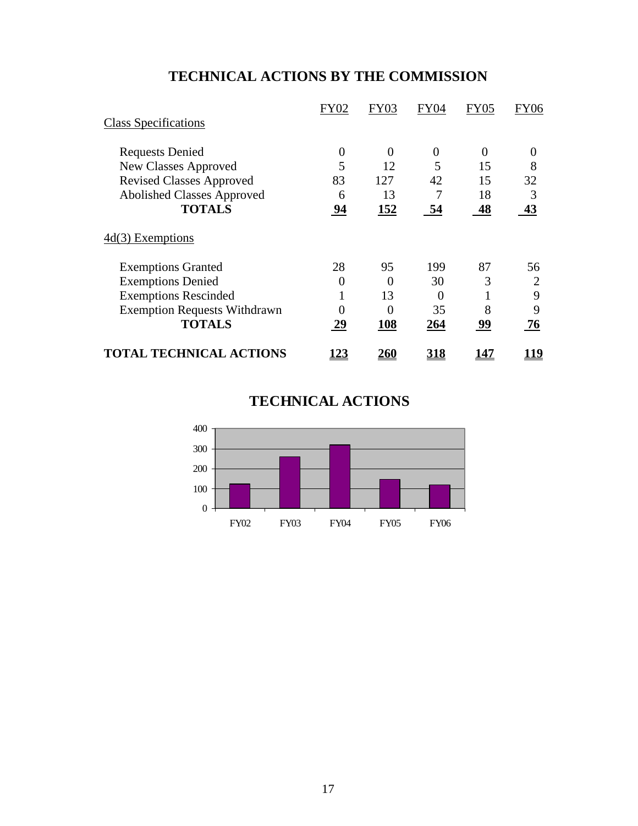# **TECHNICAL ACTIONS BY THE COMMISSION**

|                                     | <b>FY02</b>      | <b>FY03</b> | FY04        | <b>FY05</b> | <b>FY06</b> |
|-------------------------------------|------------------|-------------|-------------|-------------|-------------|
| <b>Class Specifications</b>         |                  |             |             |             |             |
| <b>Requests Denied</b>              | $\boldsymbol{0}$ | $\Omega$    | 0           | 0           | $\Omega$    |
| New Classes Approved                | 5                | 12          | 5           | 15          | 8           |
| <b>Revised Classes Approved</b>     | 83               | 127         | 42          | 15          | 32          |
| <b>Abolished Classes Approved</b>   | 6                | 13          |             | 18          | 3           |
| <b>TOTALS</b>                       | 94               | <u>152</u>  | 54          | 48          | 43          |
| $4d(3)$ Exemptions                  |                  |             |             |             |             |
| <b>Exemptions Granted</b>           | 28               | 95          | 199         | 87          | 56          |
| <b>Exemptions Denied</b>            | 0                | 0           | 30          | 3           | 2           |
| <b>Exemptions Rescinded</b>         |                  | 13          | 0           |             | 9           |
| <b>Exemption Requests Withdrawn</b> | 0                | 0           | 35          | 8           | 9           |
| <b>TOTALS</b>                       | 29               | 108         | 264         | 99          | 76          |
| <b>TOTAL TECHNICAL ACTIONS</b>      | <u> 23</u>       | <u> 260</u> | <u> 318</u> | <u> 147</u> | <u> 19</u>  |

# **TECHNICAL ACTIONS**

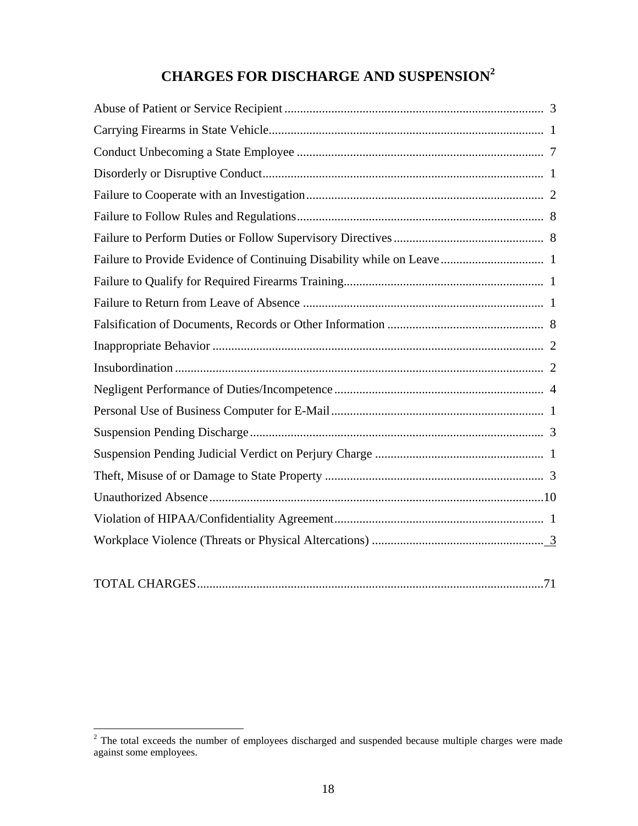# **CHARGES FOR DISCHARGE AND SUSPENSION<sup>2</sup>**

| Failure to Provide Evidence of Continuing Disability while on Leave 1 |  |
|-----------------------------------------------------------------------|--|
|                                                                       |  |
|                                                                       |  |
|                                                                       |  |
|                                                                       |  |
|                                                                       |  |
|                                                                       |  |
|                                                                       |  |
|                                                                       |  |
|                                                                       |  |
|                                                                       |  |
|                                                                       |  |
|                                                                       |  |
|                                                                       |  |
|                                                                       |  |

|--|

<sup>&</sup>lt;sup>2</sup> The total exceeds the number of employees discharged and suspended because multiple charges were made against some employees.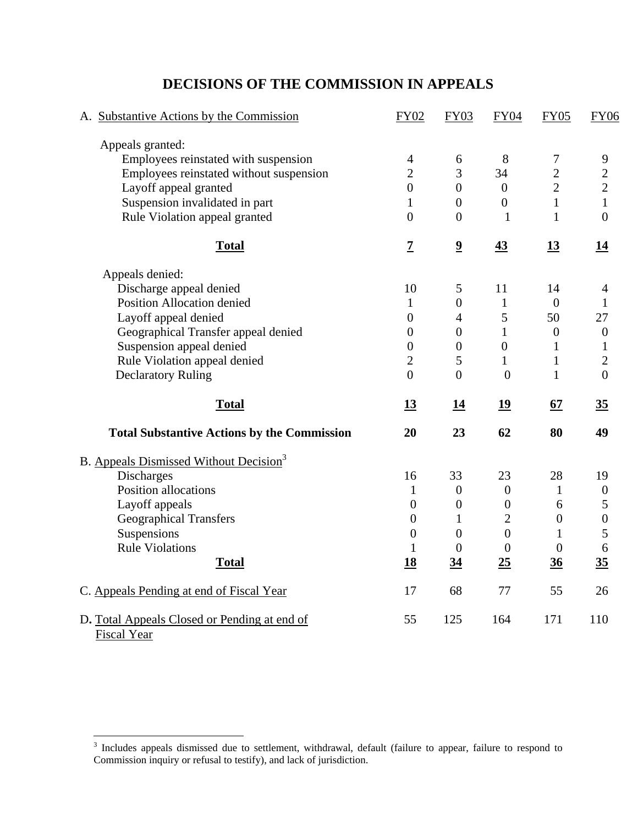# A. Substantive Actions by the Commission FY02 FY03 FY04 FY05 FY06 Appeals granted: Employees reinstated with suspension  $\begin{array}{cccc} 4 & 6 & 8 & 7 & 9 \\ 12 & 3 & 34 & 2 & 2 \end{array}$ Employees reinstated without suspension 2 3 34 Layoff appeal granted  $0 \t 0 \t 0 \t 2 \t 2$ Suspension invalidated in part 1 0 0 1 1 Rule Violation appeal granted 0 0 1 1 0 **Total 7 9 43 13 14** Appeals denied: Discharge appeal denied 10 5 11 14 4 Position Allocation denied 1 0 1 0 1 Layoff appeal denied  $0 \t 4 \t 5 \t 50 \t 27$ Geographical Transfer appeal denied 0 0 1 0 0 Suspension appeal denied 0 0 0 1 1 Rule Violation appeal denied 2 5 1 1 2 Declaratory Ruling 0 0 0 1 0 **Total 13 14 19 67 35** Total Substantive Actions by the Commission 20 23 62 80 49 B. Appeals Dismissed Without Decision<sup>3</sup> Discharges 16 33 23 28 19 Position allocations  $\begin{array}{cccc} 1 & 0 & 0 & 1 & 0 \end{array}$ Layoff appeals  $0 \t 0 \t 0 \t 6 \t 5$ Geographical Transfers 0 1 2 0 0 Suspensions  $0 \t 0 \t 0 \t 1 \t 5$ Rule Violations **1** 0 0 0 6 **Total 18 34 25 36 35** C. Appeals Pending at end of Fiscal Year 17 68 77 55 26 D**.** Total Appeals Closed or Pending at end of Fiscal Year 55 125 164 171 110

## **DECISIONS OF THE COMMISSION IN APPEALS**

<u>.</u>

<sup>&</sup>lt;sup>3</sup> Includes appeals dismissed due to settlement, withdrawal, default (failure to appear, failure to respond to Commission inquiry or refusal to testify), and lack of jurisdiction.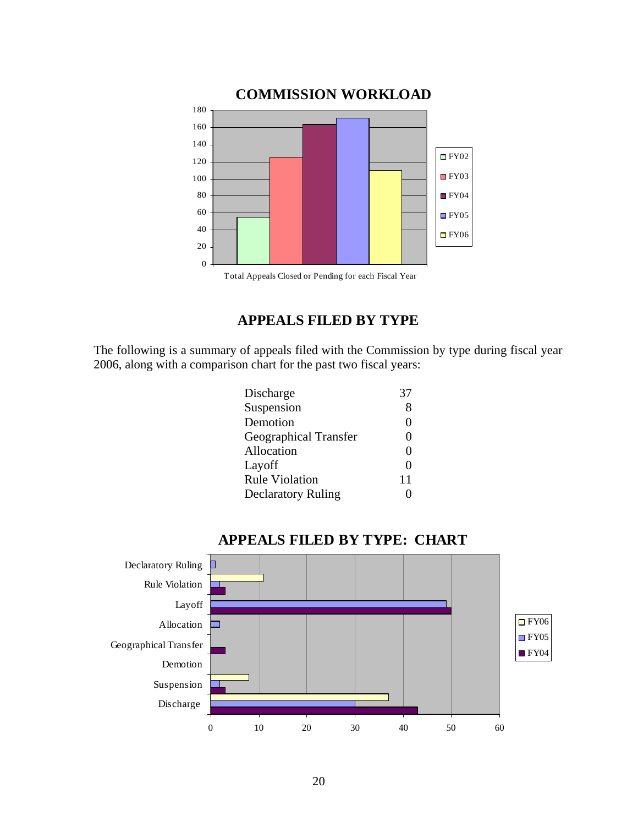

# **APPEALS FILED BY TYPE**

The following is a summary of appeals filed with the Commission by type during fiscal year 2006, along with a comparison chart for the past two fiscal years:

| Discharge                    | 37                |
|------------------------------|-------------------|
| Suspension                   | 8                 |
| Demotion                     | $\mathbf{\Omega}$ |
| <b>Geographical Transfer</b> | $\mathbf{0}$      |
| Allocation                   | $\mathbf{\Omega}$ |
| Layoff                       | 0                 |
| <b>Rule Violation</b>        | 11                |
| <b>Declaratory Ruling</b>    |                   |
|                              |                   |



#### **APPEALS FILED BY TYPE: CHART**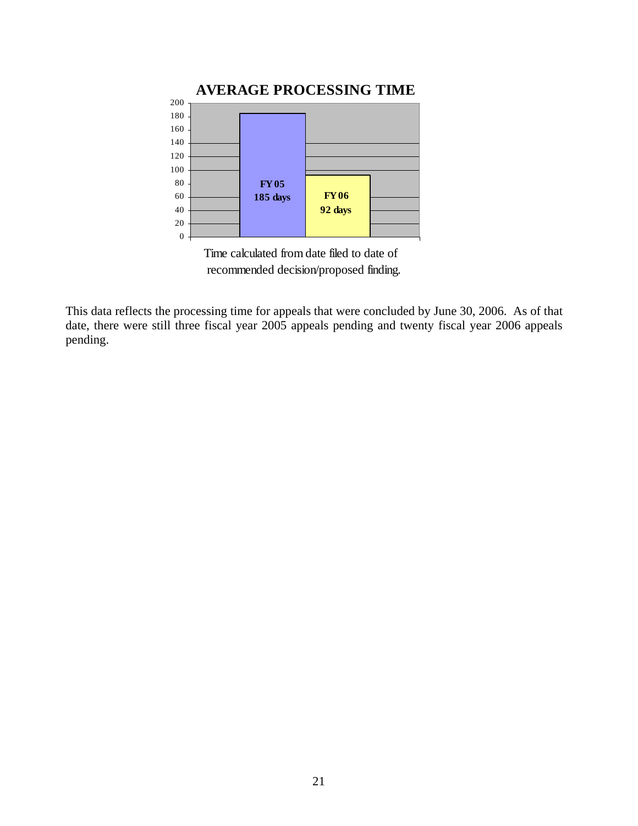

 Time calculated from date filed to date of recommended decision/proposed finding.

This data reflects the processing time for appeals that were concluded by June 30, 2006. As of that date, there were still three fiscal year 2005 appeals pending and twenty fiscal year 2006 appeals pending.